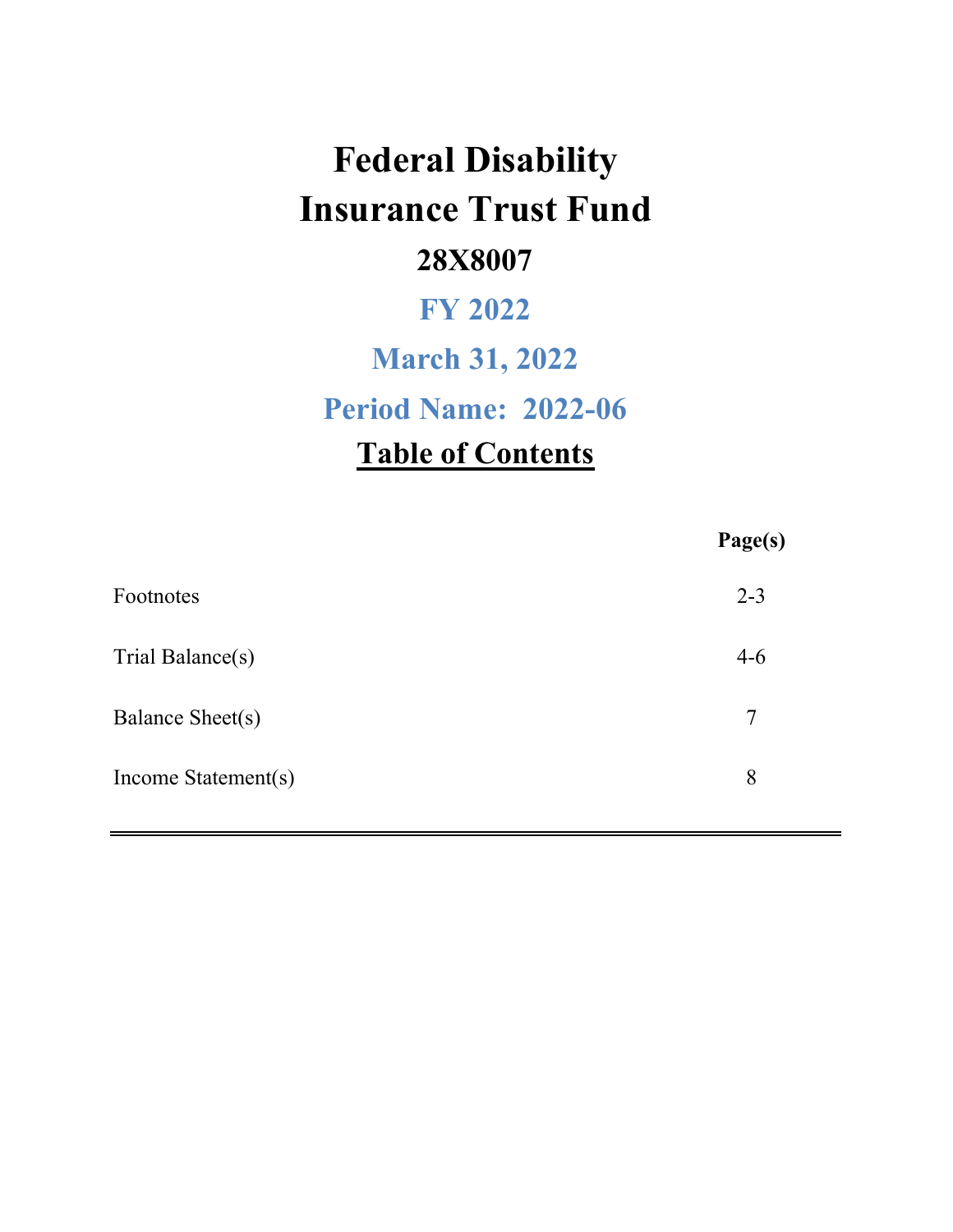# **Federal Disability Insurance Trust Fund 28X8007**

## **FY 2022**

## **March 31, 2022**

**Period Name: 2022-06**

## **Table of Contents**

|                     | Page(s) |
|---------------------|---------|
| Footnotes           | $2 - 3$ |
| Trial Balance(s)    | $4 - 6$ |
| Balance Sheet(s)    | 7       |
| Income Statement(s) | 8       |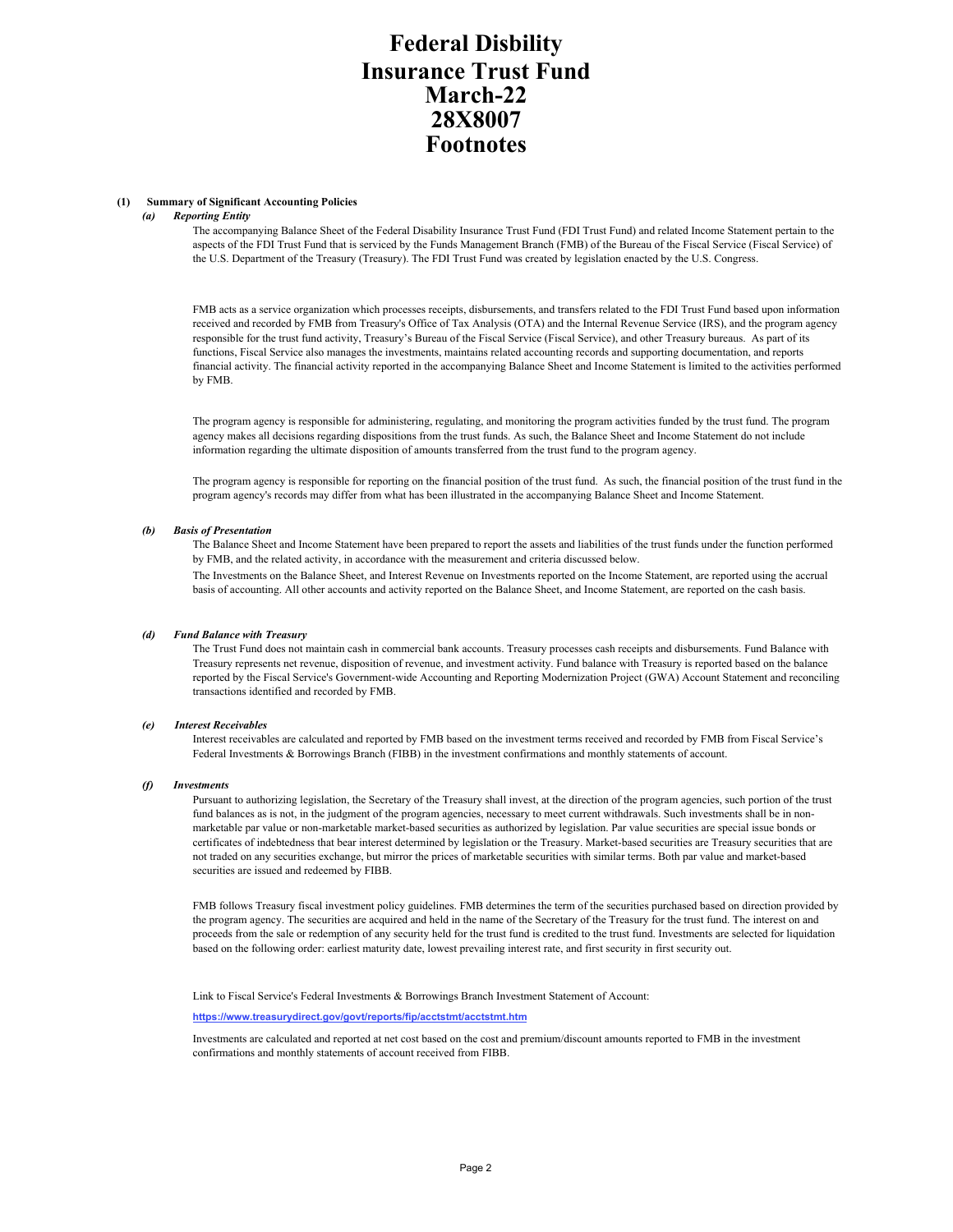### **Federal Disbility Insurance Trust Fund Footnotes March-22 28X8007**

#### **(1) Summary of Significant Accounting Policies**

#### *(a) Reporting Entity*

The accompanying Balance Sheet of the Federal Disability Insurance Trust Fund (FDI Trust Fund) and related Income Statement pertain to the aspects of the FDI Trust Fund that is serviced by the Funds Management Branch (FMB) of the Bureau of the Fiscal Service (Fiscal Service) of the U.S. Department of the Treasury (Treasury). The FDI Trust Fund was created by legislation enacted by the U.S. Congress.

FMB acts as a service organization which processes receipts, disbursements, and transfers related to the FDI Trust Fund based upon information received and recorded by FMB from Treasury's Office of Tax Analysis (OTA) and the Internal Revenue Service (IRS), and the program agency responsible for the trust fund activity, Treasury's Bureau of the Fiscal Service (Fiscal Service), and other Treasury bureaus. As part of its functions, Fiscal Service also manages the investments, maintains related accounting records and supporting documentation, and reports financial activity. The financial activity reported in the accompanying Balance Sheet and Income Statement is limited to the activities performed by FMB.

The program agency is responsible for administering, regulating, and monitoring the program activities funded by the trust fund. The program agency makes all decisions regarding dispositions from the trust funds. As such, the Balance Sheet and Income Statement do not include information regarding the ultimate disposition of amounts transferred from the trust fund to the program agency.

The program agency is responsible for reporting on the financial position of the trust fund. As such, the financial position of the trust fund in the program agency's records may differ from what has been illustrated in the accompanying Balance Sheet and Income Statement.

#### *(b) Basis of Presentation*

The Balance Sheet and Income Statement have been prepared to report the assets and liabilities of the trust funds under the function performed by FMB, and the related activity, in accordance with the measurement and criteria discussed below.

The Investments on the Balance Sheet, and Interest Revenue on Investments reported on the Income Statement, are reported using the accrual basis of accounting. All other accounts and activity reported on the Balance Sheet, and Income Statement, are reported on the cash basis.

#### *(d) Fund Balance with Treasury*

The Trust Fund does not maintain cash in commercial bank accounts. Treasury processes cash receipts and disbursements. Fund Balance with Treasury represents net revenue, disposition of revenue, and investment activity. Fund balance with Treasury is reported based on the balance reported by the Fiscal Service's Government-wide Accounting and Reporting Modernization Project (GWA) Account Statement and reconciling transactions identified and recorded by FMB.

#### *(e) Interest Receivables*

Interest receivables are calculated and reported by FMB based on the investment terms received and recorded by FMB from Fiscal Service's Federal Investments & Borrowings Branch (FIBB) in the investment confirmations and monthly statements of account.

#### *(f) Investments*

Pursuant to authorizing legislation, the Secretary of the Treasury shall invest, at the direction of the program agencies, such portion of the trust fund balances as is not, in the judgment of the program agencies, necessary to meet current withdrawals. Such investments shall be in nonmarketable par value or non-marketable market-based securities as authorized by legislation. Par value securities are special issue bonds or certificates of indebtedness that bear interest determined by legislation or the Treasury. Market-based securities are Treasury securities that are not traded on any securities exchange, but mirror the prices of marketable securities with similar terms. Both par value and market-based securities are issued and redeemed by FIBB.

FMB follows Treasury fiscal investment policy guidelines. FMB determines the term of the securities purchased based on direction provided by the program agency. The securities are acquired and held in the name of the Secretary of the Treasury for the trust fund. The interest on and proceeds from the sale or redemption of any security held for the trust fund is credited to the trust fund. Investments are selected for liquidation based on the following order: earliest maturity date, lowest prevailing interest rate, and first security in first security out.

Link to Fiscal Service's Federal Investments & Borrowings Branch Investment Statement of Account:

#### **https://www.treasurydirect.gov/govt/reports/fip/acctstmt/acctstmt.htm**

Investments are calculated and reported at net cost based on the cost and premium/discount amounts reported to FMB in the investment confirmations and monthly statements of account received from FIBB.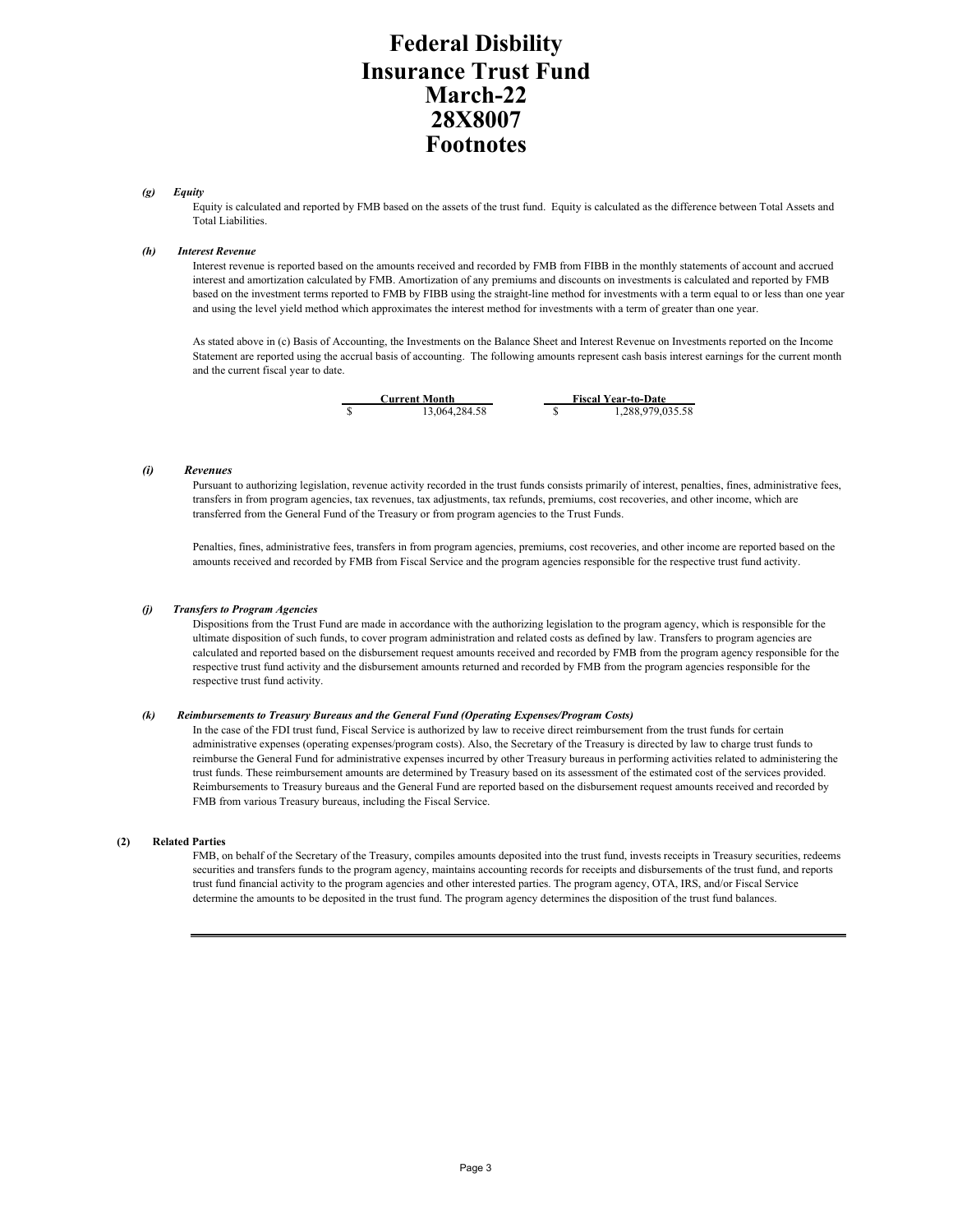### **Federal Disbility Insurance Trust Fund Footnotes March-22 28X8007**

#### *(g) Equity*

Equity is calculated and reported by FMB based on the assets of the trust fund. Equity is calculated as the difference between Total Assets and Total Liabilities.

#### *(h) Interest Revenue*

Interest revenue is reported based on the amounts received and recorded by FMB from FIBB in the monthly statements of account and accrued interest and amortization calculated by FMB. Amortization of any premiums and discounts on investments is calculated and reported by FMB based on the investment terms reported to FMB by FIBB using the straight-line method for investments with a term equal to or less than one year and using the level yield method which approximates the interest method for investments with a term of greater than one year.

As stated above in (c) Basis of Accounting, the Investments on the Balance Sheet and Interest Revenue on Investments reported on the Income Statement are reported using the accrual basis of accounting. The following amounts represent cash basis interest earnings for the current month and the current fiscal year to date.



 $\frac{1}{\$}$  1,288,979,035.58

#### *(i) Revenues*

Pursuant to authorizing legislation, revenue activity recorded in the trust funds consists primarily of interest, penalties, fines, administrative fees, transfers in from program agencies, tax revenues, tax adjustments, tax refunds, premiums, cost recoveries, and other income, which are transferred from the General Fund of the Treasury or from program agencies to the Trust Funds.

Penalties, fines, administrative fees, transfers in from program agencies, premiums, cost recoveries, and other income are reported based on the amounts received and recorded by FMB from Fiscal Service and the program agencies responsible for the respective trust fund activity.

#### *(j) Transfers to Program Agencies*

Dispositions from the Trust Fund are made in accordance with the authorizing legislation to the program agency, which is responsible for the ultimate disposition of such funds, to cover program administration and related costs as defined by law. Transfers to program agencies are calculated and reported based on the disbursement request amounts received and recorded by FMB from the program agency responsible for the respective trust fund activity and the disbursement amounts returned and recorded by FMB from the program agencies responsible for the respective trust fund activity.

#### *(k) Reimbursements to Treasury Bureaus and the General Fund (Operating Expenses/Program Costs)*

In the case of the FDI trust fund, Fiscal Service is authorized by law to receive direct reimbursement from the trust funds for certain administrative expenses (operating expenses/program costs). Also, the Secretary of the Treasury is directed by law to charge trust funds to reimburse the General Fund for administrative expenses incurred by other Treasury bureaus in performing activities related to administering the trust funds. These reimbursement amounts are determined by Treasury based on its assessment of the estimated cost of the services provided. Reimbursements to Treasury bureaus and the General Fund are reported based on the disbursement request amounts received and recorded by FMB from various Treasury bureaus, including the Fiscal Service.

#### **(2) Related Parties**

FMB, on behalf of the Secretary of the Treasury, compiles amounts deposited into the trust fund, invests receipts in Treasury securities, redeems securities and transfers funds to the program agency, maintains accounting records for receipts and disbursements of the trust fund, and reports trust fund financial activity to the program agencies and other interested parties. The program agency, OTA, IRS, and/or Fiscal Service determine the amounts to be deposited in the trust fund. The program agency determines the disposition of the trust fund balances.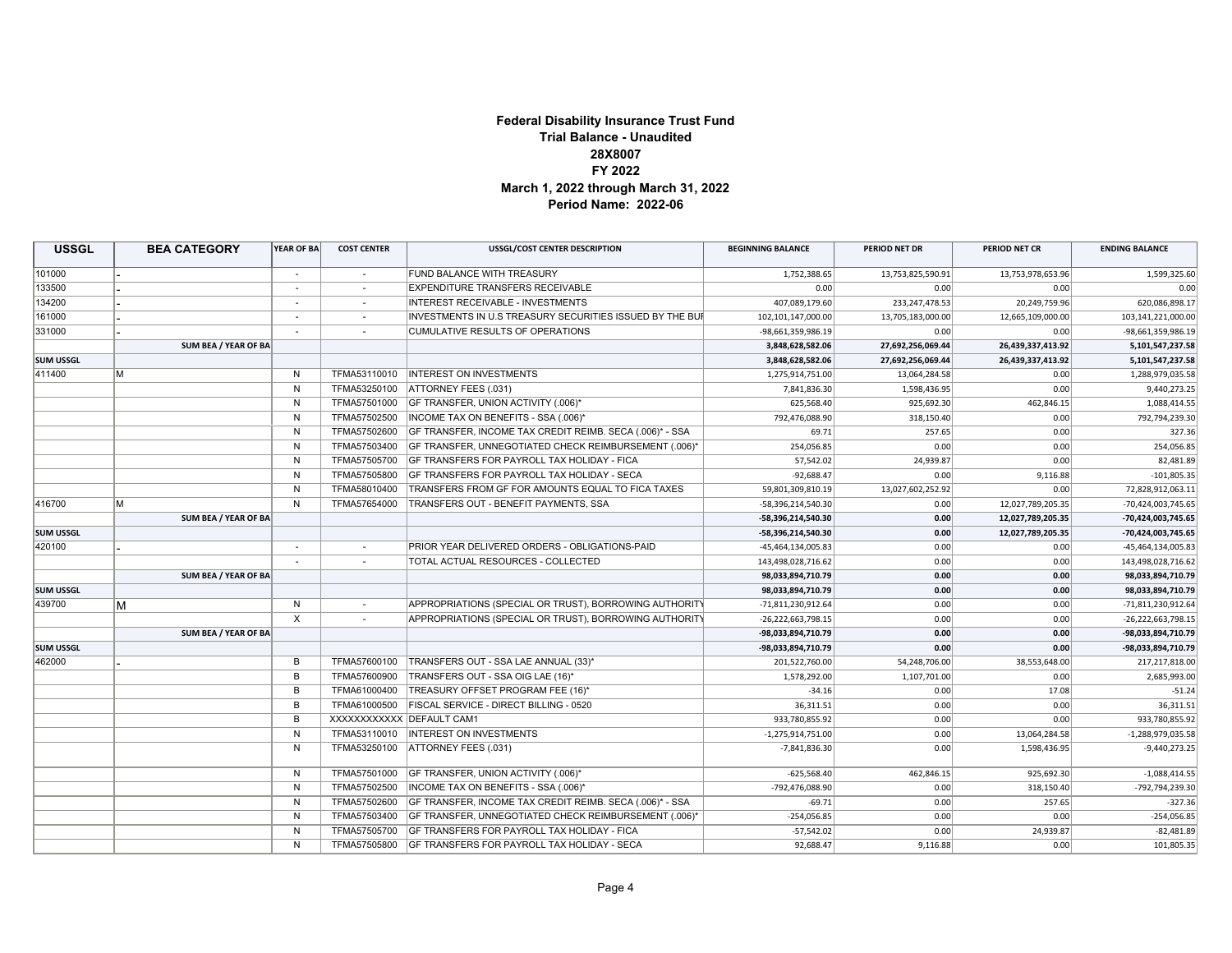#### **Federal Disability Insurance Trust Fund Trial Balance - Unaudited 28X8007 FY 2022 March 1, 2022 through March 31, 2022 Period Name: 2022-06**

| <b>USSGL</b>     |   | <b>BEA CATEGORY</b>  | YEAR OF BA   | <b>COST CENTER</b> | <b>USSGL/COST CENTER DESCRIPTION</b>                     | <b>BEGINNING BALANCE</b> | PERIOD NET DR     | PERIOD NET CR     | <b>ENDING BALANCE</b> |
|------------------|---|----------------------|--------------|--------------------|----------------------------------------------------------|--------------------------|-------------------|-------------------|-----------------------|
| 101000           |   |                      | $\sim$       | $\sim$             | FUND BALANCE WITH TREASURY                               | 1,752,388.65             | 13,753,825,590.91 | 13,753,978,653.96 | 1,599,325.60          |
| 133500           |   |                      |              |                    | <b>EXPENDITURE TRANSFERS RECEIVABLE</b>                  | 0.00                     | 0.00              | 0.00              | 0.00                  |
| 134200           |   |                      |              |                    | INTEREST RECEIVABLE - INVESTMENTS                        | 407,089,179.60           | 233, 247, 478.53  | 20,249,759.96     | 620,086,898.17        |
| 161000           |   |                      | $\sim$       |                    | INVESTMENTS IN U.S TREASURY SECURITIES ISSUED BY THE BUR | 102,101,147,000.00       | 13,705,183,000.00 | 12,665,109,000.00 | 103,141,221,000.00    |
| 331000           |   |                      |              |                    | <b>CUMULATIVE RESULTS OF OPERATIONS</b>                  | -98,661,359,986.19       | 0.00              | 0.00              | -98,661,359,986.19    |
|                  |   | SUM BEA / YEAR OF BA |              |                    |                                                          | 3,848,628,582.06         | 27,692,256,069.44 | 26,439,337,413.92 | 5,101,547,237.58      |
| <b>SUM USSGL</b> |   |                      |              |                    |                                                          | 3,848,628,582.06         | 27,692,256,069.44 | 26,439,337,413.92 | 5,101,547,237.58      |
| 411400           | M |                      | N            | TFMA53110010       | <b>INTEREST ON INVESTMENTS</b>                           | 1,275,914,751.00         | 13,064,284.58     | 0.00              | 1,288,979,035.58      |
|                  |   |                      | N            | TFMA53250100       | ATTORNEY FEES (.031)                                     | 7,841,836.30             | 1,598,436.95      | 0.00              | 9,440,273.25          |
|                  |   |                      | N            | TFMA57501000       | GF TRANSFER, UNION ACTIVITY (.006)*                      | 625,568.40               | 925,692.30        | 462,846.15        | 1,088,414.55          |
|                  |   |                      | N            | TFMA57502500       | INCOME TAX ON BENEFITS - SSA (.006)*                     | 792,476,088.90           | 318,150.40        | 0.00              | 792,794,239.30        |
|                  |   |                      | N            | TFMA57502600       | GF TRANSFER, INCOME TAX CREDIT REIMB. SECA (.006)* - SSA | 69.71                    | 257.65            | 0.00              | 327.36                |
|                  |   |                      | N            | TFMA57503400       | GF TRANSFER, UNNEGOTIATED CHECK REIMBURSEMENT (.006)*    | 254,056.85               | 0.00              | 0.00              | 254,056.85            |
|                  |   |                      | N            | TFMA57505700       | GF TRANSFERS FOR PAYROLL TAX HOLIDAY - FICA              | 57,542.02                | 24,939.87         | 0.00              | 82,481.89             |
|                  |   |                      | N            | TFMA57505800       | GF TRANSFERS FOR PAYROLL TAX HOLIDAY - SECA              | $-92,688.47$             | 0.00              | 9,116.88          | $-101,805.35$         |
|                  |   |                      | $\mathsf{N}$ | TFMA58010400       | TRANSFERS FROM GF FOR AMOUNTS EQUAL TO FICA TAXES        | 59,801,309,810.19        | 13,027,602,252.92 | 0.00              | 72,828,912,063.11     |
| 416700           | M |                      | N            | TFMA57654000       | TRANSFERS OUT - BENEFIT PAYMENTS, SSA                    | -58,396,214,540.30       | 0.00              | 12,027,789,205.35 | -70,424,003,745.65    |
|                  |   | SUM BEA / YEAR OF BA |              |                    |                                                          | -58,396,214,540.30       | 0.00              | 12,027,789,205.35 | -70,424,003,745.65    |
| <b>SUM USSGL</b> |   |                      |              |                    |                                                          | -58,396,214,540.30       | 0.00              | 12,027,789,205.35 | -70,424,003,745.65    |
| 420100           |   |                      | $\sim$       | $\sim$             | PRIOR YEAR DELIVERED ORDERS - OBLIGATIONS-PAID           | -45,464,134,005.83       | 0.00              | 0.00              | -45,464,134,005.83    |
|                  |   |                      |              |                    | TOTAL ACTUAL RESOURCES - COLLECTED                       | 143,498,028,716.62       | 0.00              | 0.00              | 143,498,028,716.62    |
|                  |   | SUM BEA / YEAR OF BA |              |                    |                                                          | 98,033,894,710.79        | 0.00              | 0.00              | 98,033,894,710.79     |
| <b>SUM USSGL</b> |   |                      |              |                    |                                                          | 98,033,894,710.79        | 0.00              | 0.00              | 98,033,894,710.79     |
| 439700           | M |                      | N            | $\sim$             | APPROPRIATIONS (SPECIAL OR TRUST), BORROWING AUTHORITY   | -71,811,230,912.64       | 0.00              | 0.00              | -71,811,230,912.64    |
|                  |   |                      | $\times$     |                    | APPROPRIATIONS (SPECIAL OR TRUST), BORROWING AUTHORITY   | $-26,222,663,798.15$     | 0.00              | 0.00              | -26,222,663,798.15    |
|                  |   | SUM BEA / YEAR OF BA |              |                    |                                                          | -98,033,894,710.79       | 0.00              | 0.00              | -98,033,894,710.79    |
| <b>SUM USSGL</b> |   |                      |              |                    |                                                          | -98,033,894,710.79       | 0.00              | 0.00              | -98,033,894,710.79    |
| 462000           |   |                      | B            | TFMA57600100       | TRANSFERS OUT - SSA LAE ANNUAL (33)*                     | 201,522,760.00           | 54,248,706.00     | 38,553,648.00     | 217,217,818.00        |
|                  |   |                      | B            | TFMA57600900       | TRANSFERS OUT - SSA OIG LAE (16)*                        | 1,578,292.00             | 1,107,701.00      | 0.00              | 2,685,993.00          |
|                  |   |                      | B            | TFMA61000400       | TREASURY OFFSET PROGRAM FEE (16)*                        | $-34.16$                 | 0.00              | 17.08             | $-51.24$              |
|                  |   |                      | B            | TFMA61000500       | FISCAL SERVICE - DIRECT BILLING - 0520                   | 36,311.51                | 0.00              | 0.00              | 36,311.51             |
|                  |   |                      | B            |                    | XXXXXXXXXXX DEFAULT CAM1                                 | 933,780,855.92           | 0.00              | 0.00              | 933,780,855.92        |
|                  |   |                      | N            | TFMA53110010       | <b>INTEREST ON INVESTMENTS</b>                           | $-1,275,914,751.00$      | 0.00              | 13,064,284.58     | $-1,288,979,035.58$   |
|                  |   |                      | N            | TFMA53250100       | ATTORNEY FEES (.031)                                     | $-7,841,836.30$          | 0.00              | 1,598,436.95      | $-9,440,273.25$       |
|                  |   |                      | N            | TFMA57501000       | GF TRANSFER, UNION ACTIVITY (.006)*                      | $-625,568.40$            | 462,846.15        | 925,692.30        | $-1,088,414.55$       |
|                  |   |                      | N            | TFMA57502500       | INCOME TAX ON BENEFITS - SSA (.006)*                     | -792,476,088.90          | 0.00              | 318,150.40        | -792,794,239.30       |
|                  |   |                      | N            | TFMA57502600       | GF TRANSFER, INCOME TAX CREDIT REIMB. SECA (.006)* - SSA | $-69.71$                 | 0.00              | 257.65            | $-327.36$             |
|                  |   |                      | N            | TFMA57503400       | GF TRANSFER, UNNEGOTIATED CHECK REIMBURSEMENT (.006)*    | $-254,056.85$            | 0.00              | 0.00              | $-254,056.85$         |
|                  |   |                      | N            | TFMA57505700       | GF TRANSFERS FOR PAYROLL TAX HOLIDAY - FICA              | $-57,542.02$             | 0.00              | 24,939.87         | $-82,481.89$          |
|                  |   |                      | N            | TFMA57505800       | <b>GF TRANSFERS FOR PAYROLL TAX HOLIDAY - SECA</b>       | 92,688.47                | 9,116.88          | 0.00              | 101,805.35            |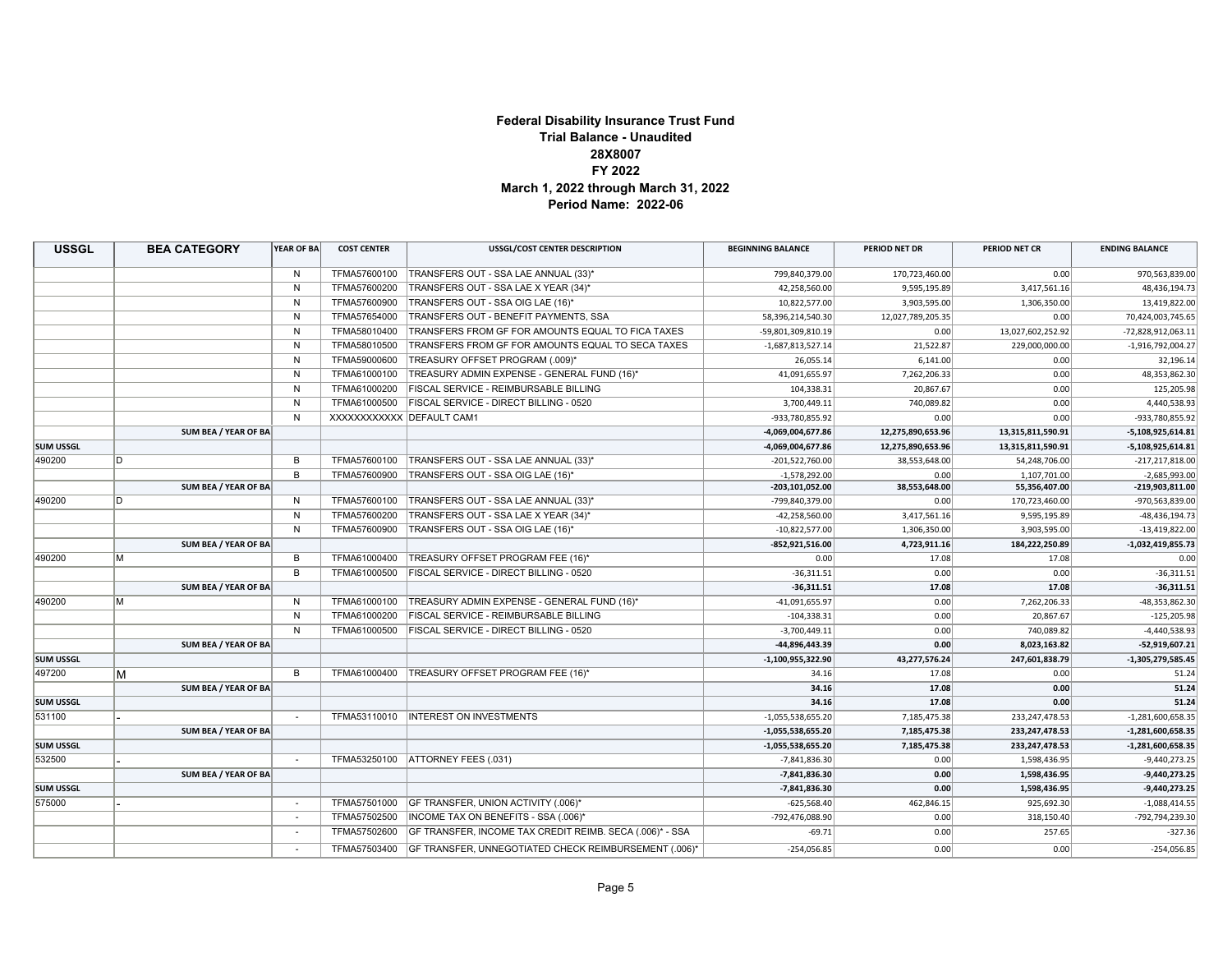#### **Federal Disability Insurance Trust Fund Trial Balance - Unaudited 28X8007 FY 2022 March 1, 2022 through March 31, 2022 Period Name: 2022-06**

| <b>USSGL</b>     | <b>BEA CATEGORY</b>  | YEAR OF BA   | <b>COST CENTER</b>       | <b>USSGL/COST CENTER DESCRIPTION</b>                               | <b>BEGINNING BALANCE</b> | PERIOD NET DR     | PERIOD NET CR     | <b>ENDING BALANCE</b> |
|------------------|----------------------|--------------|--------------------------|--------------------------------------------------------------------|--------------------------|-------------------|-------------------|-----------------------|
|                  |                      | N            | TFMA57600100             | TRANSFERS OUT - SSA LAE ANNUAL (33)*                               | 799,840,379.00           | 170,723,460.00    | 0.00              | 970,563,839.00        |
|                  |                      | $\mathsf{N}$ | TFMA57600200             | TRANSFERS OUT - SSA LAE X YEAR (34)*                               | 42,258,560.00            | 9,595,195.89      | 3,417,561.16      | 48,436,194.73         |
|                  |                      | N            | TFMA57600900             | TRANSFERS OUT - SSA OIG LAE (16)*                                  | 10,822,577.00            | 3,903,595.00      | 1,306,350.00      | 13,419,822.00         |
|                  |                      | N            | TFMA57654000             | TRANSFERS OUT - BENEFIT PAYMENTS, SSA                              | 58,396,214,540.30        | 12,027,789,205.35 | 0.00              | 70,424,003,745.65     |
|                  |                      | N            | TFMA58010400             | TRANSFERS FROM GF FOR AMOUNTS EQUAL TO FICA TAXES                  | -59,801,309,810.19       | 0.00              | 13,027,602,252.92 | -72,828,912,063.11    |
|                  |                      | N            | TFMA58010500             | TRANSFERS FROM GF FOR AMOUNTS EQUAL TO SECA TAXES                  | $-1,687,813,527.14$      | 21,522.87         | 229,000,000.00    | $-1,916,792,004.27$   |
|                  |                      | N            | TFMA59000600             | TREASURY OFFSET PROGRAM (.009)*                                    | 26,055.14                | 6,141.00          | 0.00              | 32,196.14             |
|                  |                      | N            | TFMA61000100             | TREASURY ADMIN EXPENSE - GENERAL FUND (16)*                        | 41,091,655.97            | 7,262,206.33      | 0.00              | 48,353,862.30         |
|                  |                      | N            | TFMA61000200             | FISCAL SERVICE - REIMBURSABLE BILLING                              | 104,338.31               | 20,867.67         | 0.00              | 125,205.98            |
|                  |                      | N            | TFMA61000500             | FISCAL SERVICE - DIRECT BILLING - 0520                             | 3,700,449.11             | 740,089.82        | 0.00              | 4,440,538.93          |
|                  |                      | N            | XXXXXXXXXXX DEFAULT CAM1 |                                                                    | -933,780,855.92          | 0.00              | 0.00              | -933,780,855.92       |
|                  | SUM BEA / YEAR OF BA |              |                          |                                                                    | -4,069,004,677.86        | 12,275,890,653.96 | 13,315,811,590.91 | $-5,108,925,614.81$   |
| <b>SUM USSGL</b> |                      |              |                          |                                                                    | -4,069,004,677.86        | 12,275,890,653.96 | 13,315,811,590.91 | $-5,108,925,614.81$   |
| 490200           | ID.                  | B            | TFMA57600100             | TRANSFERS OUT - SSA LAE ANNUAL (33)*                               | $-201,522,760.00$        | 38,553,648.00     | 54,248,706.00     | $-217,217,818.00$     |
|                  |                      | B            |                          | TFMA57600900   TRANSFERS OUT - SSA OIG LAE (16)*                   | $-1,578,292.00$          | 0.00              | 1,107,701.00      | $-2,685,993.00$       |
|                  | SUM BEA / YEAR OF BA |              |                          |                                                                    | -203,101,052.00          | 38,553,648.00     | 55,356,407.00     | -219,903,811.00       |
| 490200           | D                    | N            | TFMA57600100             | TRANSFERS OUT - SSA LAE ANNUAL (33)*                               | -799,840,379.00          | 0.00              | 170,723,460.00    | -970,563,839.00       |
|                  |                      | N            | TFMA57600200             | TRANSFERS OUT - SSA LAE X YEAR (34)*                               | $-42,258,560.00$         | 3,417,561.16      | 9,595,195.89      | -48,436,194.73        |
|                  |                      | N            | TFMA57600900             | TRANSFERS OUT - SSA OIG LAE (16)*                                  | $-10,822,577.00$         | 1,306,350.00      | 3,903,595.00      | $-13,419,822.00$      |
|                  | SUM BEA / YEAR OF BA |              |                          |                                                                    | $-852,921,516.00$        | 4,723,911.16      | 184,222,250.89    | $-1,032,419,855.73$   |
| 490200           | lм                   | B            | TFMA61000400             | TREASURY OFFSET PROGRAM FEE (16)*                                  | 0.00                     | 17.08             | 17.08             | 0.00                  |
|                  |                      | B            | TFMA61000500             | FISCAL SERVICE - DIRECT BILLING - 0520                             | $-36,311.51$             | 0.00              | 0.00              | $-36,311.51$          |
|                  | SUM BEA / YEAR OF BA |              |                          |                                                                    | $-36,311.51$             | 17.08             | 17.08             | $-36,311.51$          |
| 490200           | м                    | N            | TFMA61000100             | TREASURY ADMIN EXPENSE - GENERAL FUND (16)*                        | $-41,091,655.97$         | 0.00              | 7,262,206.33      | -48,353,862.30        |
|                  |                      | N            | TFMA61000200             | FISCAL SERVICE - REIMBURSABLE BILLING                              | $-104,338.31$            | 0.00              | 20,867.67         | $-125,205.98$         |
|                  |                      | N            | TFMA61000500             | FISCAL SERVICE - DIRECT BILLING - 0520                             | $-3,700,449.11$          | 0.00              | 740,089.82        | $-4,440,538.93$       |
|                  | SUM BEA / YEAR OF BA |              |                          |                                                                    | -44,896,443.39           | 0.00              | 8,023,163.82      | $-52,919,607.21$      |
| <b>SUM USSGL</b> |                      |              |                          |                                                                    | $-1,100,955,322.90$      | 43,277,576.24     | 247,601,838.79    | $-1,305,279,585.45$   |
| 497200           | М                    | B            | TFMA61000400             | TREASURY OFFSET PROGRAM FEE (16)*                                  | 34.16                    | 17.08             | 0.00              | 51.24                 |
|                  | SUM BEA / YEAR OF BA |              |                          |                                                                    | 34.16                    | 17.08             | 0.00              | 51.24                 |
| <b>SUM USSGL</b> |                      |              |                          |                                                                    | 34.16                    | 17.08             | 0.00              | 51.24                 |
| 531100           |                      | $\sim$       |                          | TFMA53110010  INTEREST ON INVESTMENTS                              | $-1,055,538,655.20$      | 7,185,475.38      | 233,247,478.53    | $-1,281,600,658.35$   |
|                  | SUM BEA / YEAR OF BA |              |                          |                                                                    | $-1,055,538,655.20$      | 7,185,475.38      | 233,247,478.53    | $-1,281,600,658.35$   |
| <b>SUM USSGL</b> |                      |              |                          |                                                                    | $-1,055,538,655.20$      | 7,185,475.38      | 233,247,478.53    | $-1,281,600,658.35$   |
| 532500           |                      |              |                          | TFMA53250100   ATTORNEY FEES (.031)                                | $-7,841,836.30$          | 0.00              | 1,598,436.95      | $-9,440,273.25$       |
|                  | SUM BEA / YEAR OF BA |              |                          |                                                                    | $-7,841,836.30$          | 0.00              | 1,598,436.95      | $-9,440,273.25$       |
| <b>SUM USSGL</b> |                      |              |                          |                                                                    | $-7,841,836.30$          | 0.00              | 1,598,436.95      | $-9,440,273.25$       |
| 575000           |                      | $\sim$       |                          | TFMA57501000 GF TRANSFER, UNION ACTIVITY (.006)*                   | $-625,568.40$            | 462,846.15        | 925,692.30        | $-1,088,414.55$       |
|                  |                      |              | TFMA57502500             | INCOME TAX ON BENEFITS - SSA (.006)*                               | -792,476,088.90          | 0.00              | 318,150.40        | -792,794,239.30       |
|                  |                      |              | TFMA57502600             | GF TRANSFER, INCOME TAX CREDIT REIMB. SECA (.006)* - SSA           | $-69.71$                 | 0.00              | 257.65            | $-327.36$             |
|                  |                      | $\sim$       |                          | TFMA57503400 GF TRANSFER, UNNEGOTIATED CHECK REIMBURSEMENT (.006)* | $-254,056.85$            | 0.00              | 0.00              | $-254,056.85$         |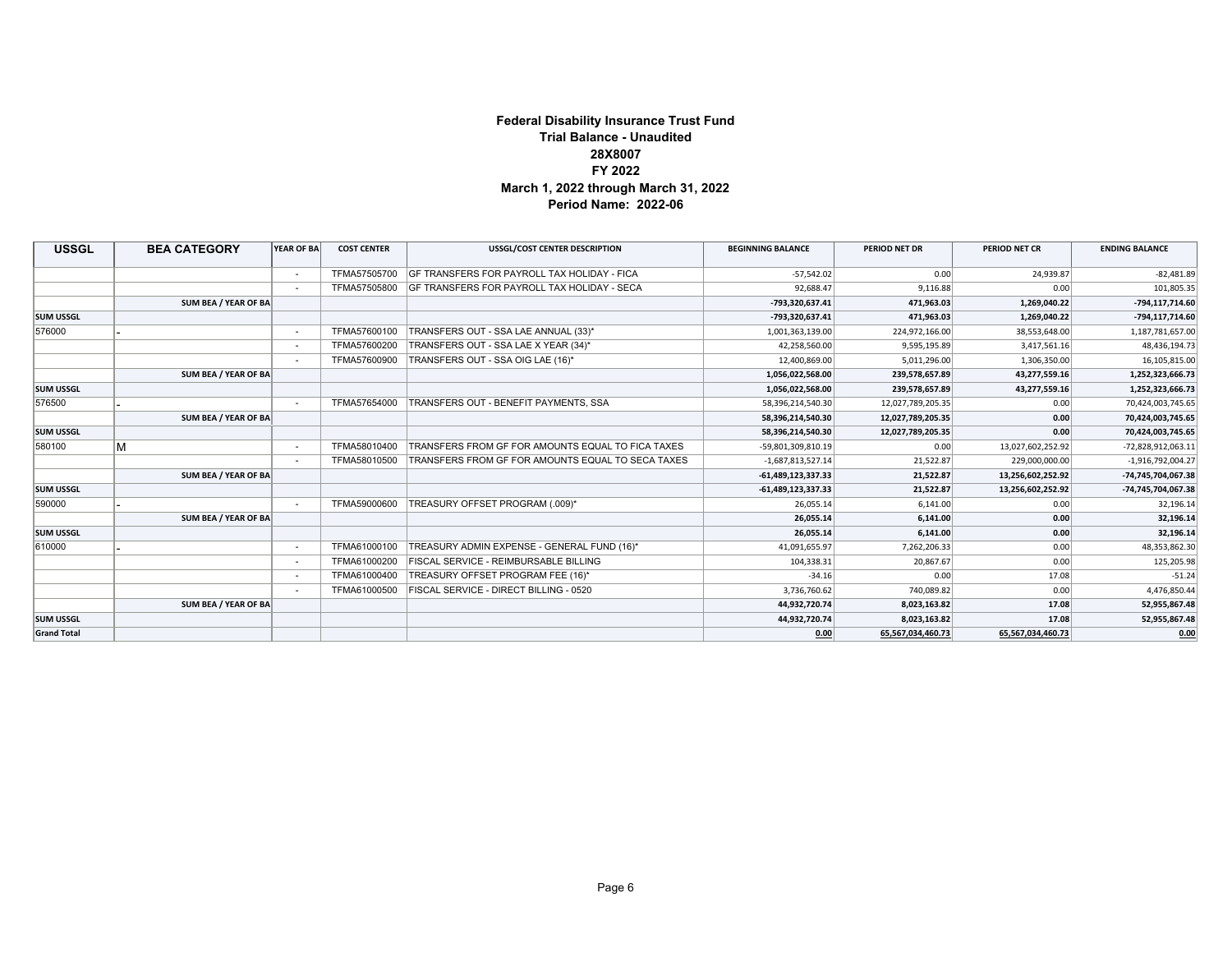#### **Federal Disability Insurance Trust Fund Trial Balance - Unaudited 28X8007 FY 2022 March 1, 2022 through March 31, 2022 Period Name: 2022-06**

| <b>USSGL</b>       | <b>BEA CATEGORY</b>  | <b>YEAR OF BA</b> | <b>COST CENTER</b> | <b>USSGL/COST CENTER DESCRIPTION</b>                     | <b>BEGINNING BALANCE</b> | PERIOD NET DR     | PERIOD NET CR     | <b>ENDING BALANCE</b> |
|--------------------|----------------------|-------------------|--------------------|----------------------------------------------------------|--------------------------|-------------------|-------------------|-----------------------|
|                    |                      | $\sim$            | TFMA57505700       | <b>IGF TRANSFERS FOR PAYROLL TAX HOLIDAY - FICA</b>      | $-57.542.02$             | 0.00              | 24,939.87         | $-82,481.89$          |
|                    |                      |                   |                    | TFMA57505800 GF TRANSFERS FOR PAYROLL TAX HOLIDAY - SECA | 92,688.47                | 9,116.88          | 0.00              | 101,805.35            |
|                    | SUM BEA / YEAR OF BA |                   |                    |                                                          | -793,320,637.41          | 471,963.03        | 1,269,040.22      | -794,117,714.60       |
| <b>SUM USSGL</b>   |                      |                   |                    |                                                          | -793,320,637.41          | 471,963.03        | 1,269,040.22      | -794,117,714.60       |
| 576000             |                      |                   | TFMA57600100       | TRANSFERS OUT - SSA LAE ANNUAL (33)*                     | 1,001,363,139.00         | 224,972,166.00    | 38,553,648.00     | 1,187,781,657.00      |
|                    |                      |                   | TFMA57600200       | TRANSFERS OUT - SSA LAE X YEAR (34)*                     | 42,258,560.00            | 9,595,195.89      | 3,417,561.16      | 48,436,194.73         |
|                    |                      | $\sim$            | TFMA57600900       | TRANSFERS OUT - SSA OIG LAE (16)*                        | 12,400,869.00            | 5,011,296.00      | 1,306,350.00      | 16,105,815.00         |
|                    | SUM BEA / YEAR OF BA |                   |                    |                                                          | 1,056,022,568.00         | 239,578,657.89    | 43,277,559.16     | 1,252,323,666.73      |
| <b>SUM USSGL</b>   |                      |                   |                    |                                                          | 1,056,022,568.00         | 239,578,657.89    | 43,277,559.16     | 1,252,323,666.73      |
| 576500             |                      |                   | TFMA57654000       | TRANSFERS OUT - BENEFIT PAYMENTS, SSA                    | 58,396,214,540.30        | 12,027,789,205.35 | 0.00              | 70,424,003,745.65     |
|                    | SUM BEA / YEAR OF BA |                   |                    |                                                          | 58,396,214,540.30        | 12,027,789,205.35 | 0.00              | 70,424,003,745.65     |
| <b>SUM USSGL</b>   |                      |                   |                    |                                                          | 58,396,214,540.30        | 12,027,789,205.35 | 0.00              | 70,424,003,745.65     |
| 580100             | М                    | $\sim$            | TFMA58010400       | <b>TRANSFERS FROM GF FOR AMOUNTS EQUAL TO FICA TAXES</b> | -59,801,309,810.19       | 0.00              | 13,027,602,252.92 | -72,828,912,063.11    |
|                    |                      | $\sim$            | TFMA58010500       | <b>TRANSFERS FROM GF FOR AMOUNTS EQUAL TO SECA TAXES</b> | $-1,687,813,527.14$      | 21,522.87         | 229,000,000.00    | $-1,916,792,004.27$   |
|                    | SUM BEA / YEAR OF BA |                   |                    |                                                          | $-61,489,123,337.33$     | 21,522.87         | 13,256,602,252.92 | -74,745,704,067.38    |
| <b>SUM USSGL</b>   |                      |                   |                    |                                                          | $-61,489,123,337.33$     | 21,522.87         | 13,256,602,252.92 | -74,745,704,067.38    |
| 590000             |                      |                   | TFMA59000600       | TREASURY OFFSET PROGRAM (.009)*                          | 26.055.14                | 6,141.00          | 0.00              | 32,196.14             |
|                    | SUM BEA / YEAR OF BA |                   |                    |                                                          | 26,055.14                | 6,141.00          | 0.00              | 32,196.14             |
| <b>SUM USSGL</b>   |                      |                   |                    |                                                          | 26,055.14                | 6,141.00          | 0.00              | 32,196.14             |
| 610000             |                      |                   | TFMA61000100       | TREASURY ADMIN EXPENSE - GENERAL FUND (16)*              | 41,091,655.97            | 7,262,206.33      | 0.00              | 48,353,862.30         |
|                    |                      |                   | TFMA61000200       | <b>FISCAL SERVICE - REIMBURSABLE BILLING</b>             | 104,338.31               | 20,867.67         | 0.00              | 125,205.98            |
|                    |                      |                   | TFMA61000400       | TREASURY OFFSET PROGRAM FEE (16)*                        | $-34.16$                 | 0.00              | 17.08             | $-51.24$              |
|                    |                      |                   | TFMA61000500       | FISCAL SERVICE - DIRECT BILLING - 0520                   | 3,736,760.62             | 740,089.82        | 0.00              | 4,476,850.44          |
|                    | SUM BEA / YEAR OF BA |                   |                    |                                                          | 44,932,720.74            | 8,023,163.82      | 17.08             | 52,955,867.48         |
| <b>SUM USSGL</b>   |                      |                   |                    |                                                          | 44,932,720.74            | 8,023,163.82      | 17.08             | 52,955,867.48         |
| <b>Grand Total</b> |                      |                   |                    |                                                          | 0.00                     | 65,567,034,460.73 | 65,567,034,460.73 | 0.00                  |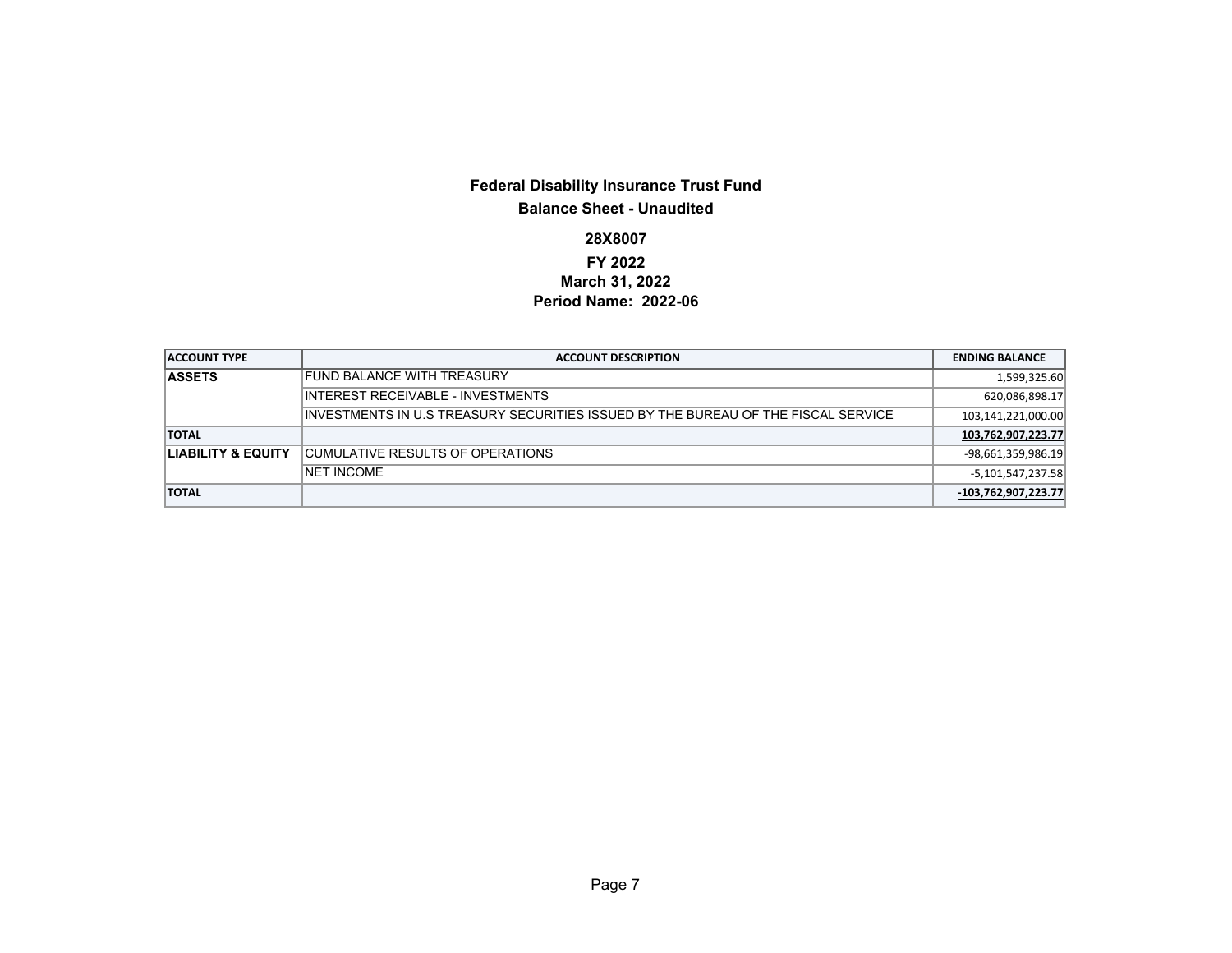### **Federal Disability Insurance Trust Fund Balance Sheet - Unaudited**

## **28X8007**

#### **FY 2022 March 31, 2022 Period Name: 2022-06**

| <b>ACCOUNT TYPE</b>           | <b>ACCOUNT DESCRIPTION</b>                                                         | <b>ENDING BALANCE</b> |
|-------------------------------|------------------------------------------------------------------------------------|-----------------------|
| <b>ASSETS</b>                 | FUND BALANCE WITH TREASURY                                                         | 1,599,325.60          |
|                               | INTEREST RECEIVABLE - INVESTMENTS                                                  | 620,086,898.17        |
|                               | IINVESTMENTS IN U.S TREASURY SECURITIES ISSUED BY THE BUREAU OF THE FISCAL SERVICE | 103,141,221,000.00    |
| <b>TOTAL</b>                  |                                                                                    | 103,762,907,223.77    |
| <b>LIABILITY &amp; EQUITY</b> | <b>CUMULATIVE RESULTS OF OPERATIONS</b>                                            | $-98,661,359,986.19$  |
|                               | <b>INET INCOME</b>                                                                 | $-5,101,547,237.58$   |
| <b>TOTAL</b>                  |                                                                                    | $-103,762,907,223.77$ |